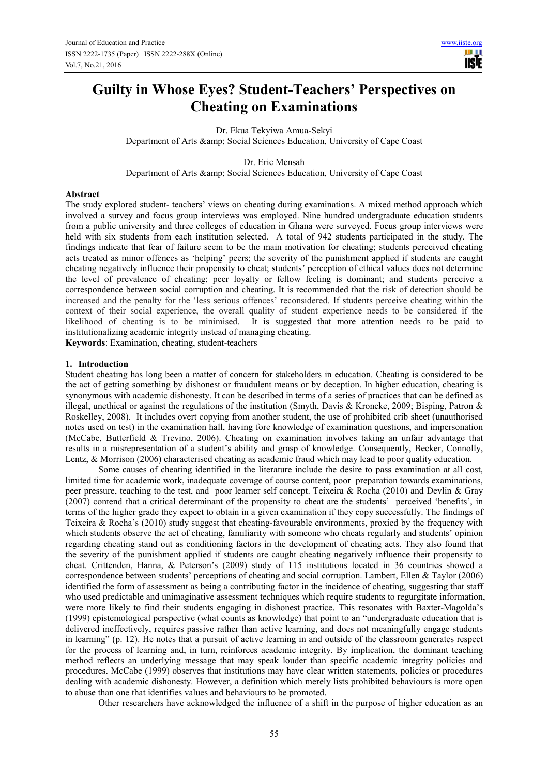# **Guilty in Whose Eyes? Student-Teachers' Perspectives on Cheating on Examinations**

Dr. Ekua Tekyiwa Amua-Sekyi Department of Arts & amp; Social Sciences Education, University of Cape Coast

Dr. Eric Mensah Department of Arts & amp; Social Sciences Education, University of Cape Coast

#### **Abstract**

The study explored student- teachers' views on cheating during examinations. A mixed method approach which involved a survey and focus group interviews was employed. Nine hundred undergraduate education students from a public university and three colleges of education in Ghana were surveyed. Focus group interviews were held with six students from each institution selected. A total of 942 students participated in the study. The findings indicate that fear of failure seem to be the main motivation for cheating; students perceived cheating acts treated as minor offences as 'helping' peers; the severity of the punishment applied if students are caught cheating negatively influence their propensity to cheat; students' perception of ethical values does not determine the level of prevalence of cheating; peer loyalty or fellow feeling is dominant; and students perceive a correspondence between social corruption and cheating. It is recommended that the risk of detection should be increased and the penalty for the 'less serious offences' reconsidered. If students perceive cheating within the context of their social experience, the overall quality of student experience needs to be considered if the likelihood of cheating is to be minimised. It is suggested that more attention needs to be paid to institutionalizing academic integrity instead of managing cheating.

**Keywords**: Examination, cheating, student-teachers

#### **1. Introduction**

Student cheating has long been a matter of concern for stakeholders in education. Cheating is considered to be the act of getting something by dishonest or fraudulent means or by deception. In higher education, cheating is synonymous with academic dishonesty. It can be described in terms of a series of practices that can be defined as illegal, unethical or against the regulations of the institution (Smyth, Davis & Kroncke, 2009; Bisping, Patron & Roskelley, 2008). It includes overt copying from another student, the use of prohibited crib sheet (unauthorised notes used on test) in the examination hall, having fore knowledge of examination questions, and impersonation (McCabe, Butterfield & Trevino, 2006). Cheating on examination involves taking an unfair advantage that results in a misrepresentation of a student's ability and grasp of knowledge. Consequently, Becker, Connolly, Lentz, & Morrison (2006) characterised cheating as academic fraud which may lead to poor quality education.

Some causes of cheating identified in the literature include the desire to pass examination at all cost, limited time for academic work, inadequate coverage of course content, poor preparation towards examinations, peer pressure, teaching to the test, and poor learner self concept. Teixeira & Rocha (2010) and Devlin & Gray (2007) contend that a critical determinant of the propensity to cheat are the students' perceived 'benefits', in terms of the higher grade they expect to obtain in a given examination if they copy successfully. The findings of Teixeira & Rocha's (2010) study suggest that cheating-favourable environments, proxied by the frequency with which students observe the act of cheating, familiarity with someone who cheats regularly and students' opinion regarding cheating stand out as conditioning factors in the development of cheating acts. They also found that the severity of the punishment applied if students are caught cheating negatively influence their propensity to cheat. Crittenden, Hanna, & Peterson's (2009) study of 115 institutions located in 36 countries showed a correspondence between students' perceptions of cheating and social corruption. Lambert, Ellen & Taylor (2006) identified the form of assessment as being a contributing factor in the incidence of cheating, suggesting that staff who used predictable and unimaginative assessment techniques which require students to regurgitate information, were more likely to find their students engaging in dishonest practice. This resonates with Baxter-Magolda's (1999) epistemological perspective (what counts as knowledge) that point to an "undergraduate education that is delivered ineffectively, requires passive rather than active learning, and does not meaningfully engage students in learning" (p. 12). He notes that a pursuit of active learning in and outside of the classroom generates respect for the process of learning and, in turn, reinforces academic integrity. By implication, the dominant teaching method reflects an underlying message that may speak louder than specific academic integrity policies and procedures. McCabe (1999) observes that institutions may have clear written statements, policies or procedures dealing with academic dishonesty. However, a definition which merely lists prohibited behaviours is more open to abuse than one that identifies values and behaviours to be promoted.

Other researchers have acknowledged the influence of a shift in the purpose of higher education as an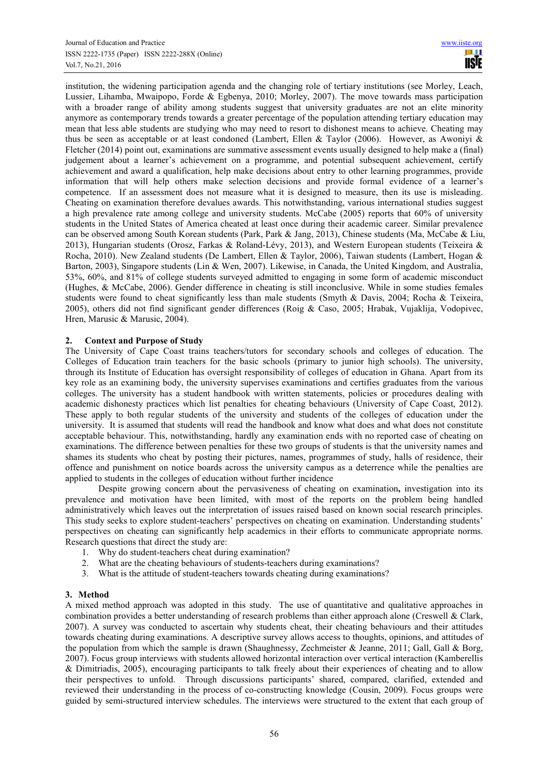institution, the widening participation agenda and the changing role of tertiary institutions (see Morley, Leach, Lussier, Lihamba, Mwaipopo, Forde & Egbenya, 2010; Morley, 2007). The move towards mass participation with a broader range of ability among students suggest that university graduates are not an elite minority anymore as contemporary trends towards a greater percentage of the population attending tertiary education may mean that less able students are studying who may need to resort to dishonest means to achieve. Cheating may thus be seen as acceptable or at least condoned (Lambert, Ellen & Taylor (2006). However, as Awoniyi & Fletcher (2014) point out, examinations are summative assessment events usually designed to help make a (final) judgement about a learner's achievement on a programme, and potential subsequent achievement, certify achievement and award a qualification, help make decisions about entry to other learning programmes, provide information that will help others make selection decisions and provide formal evidence of a learner's competence. If an assessment does not measure what it is designed to measure, then its use is misleading. Cheating on examination therefore devalues awards. This notwithstanding, various international studies suggest a high prevalence rate among college and university students. McCabe (2005) reports that 60% of university students in the United States of America cheated at least once during their academic career. Similar prevalence can be observed among South Korean students (Park, Park & Jang, 2013), Chinese students (Ma, McCabe & Liu, 2013), Hungarian students (Orosz, Farkas & Roland-Lévy, 2013), and Western European students (Teixeira & Rocha, 2010). New Zealand students (De Lambert, Ellen & Taylor, 2006), Taiwan students (Lambert, Hogan & Barton, 2003), Singapore students (Lin & Wen, 2007). Likewise, in Canada, the United Kingdom, and Australia, 53%, 60%, and 81% of college students surveyed admitted to engaging in some form of academic misconduct (Hughes, & McCabe, 2006). Gender difference in cheating is still inconclusive. While in some studies females students were found to cheat significantly less than male students (Smyth & Davis, 2004; Rocha & Teixeira, 2005), others did not find significant gender differences (Roig & Caso, 2005; Hrabak, Vujaklija, Vodopivec, Hren, Marusic & Marusic, 2004).

## **2. Context and Purpose of Study**

The University of Cape Coast trains teachers/tutors for secondary schools and colleges of education. The Colleges of Education train teachers for the basic schools (primary to junior high schools). The university, through its Institute of Education has oversight responsibility of colleges of education in Ghana. Apart from its key role as an examining body, the university supervises examinations and certifies graduates from the various colleges. The university has a student handbook with written statements, policies or procedures dealing with academic dishonesty practices which list penalties for cheating behaviours (University of Cape Coast, 2012). These apply to both regular students of the university and students of the colleges of education under the university. It is assumed that students will read the handbook and know what does and what does not constitute acceptable behaviour. This, notwithstanding, hardly any examination ends with no reported case of cheating on examinations. The difference between penalties for these two groups of students is that the university names and shames its students who cheat by posting their pictures, names, programmes of study, halls of residence, their offence and punishment on notice boards across the university campus as a deterrence while the penalties are applied to students in the colleges of education without further incidence

Despite growing concern about the pervasiveness of cheating on examination**,** investigation into its prevalence and motivation have been limited, with most of the reports on the problem being handled administratively which leaves out the interpretation of issues raised based on known social research principles. This study seeks to explore student-teachers' perspectives on cheating on examination. Understanding students' perspectives on cheating can significantly help academics in their efforts to communicate appropriate norms. Research questions that direct the study are:

- 1. Why do student-teachers cheat during examination?
- 2. What are the cheating behaviours of students-teachers during examinations?
- 3. What is the attitude of student-teachers towards cheating during examinations?

## **3. Method**

A mixed method approach was adopted in this study. The use of quantitative and qualitative approaches in combination provides a better understanding of research problems than either approach alone (Creswell & Clark, 2007). A survey was conducted to ascertain why students cheat, their cheating behaviours and their attitudes towards cheating during examinations. A descriptive survey allows access to thoughts, opinions, and attitudes of the population from which the sample is drawn (Shaughnessy, Zechmeister & Jeanne, 2011; Gall, Gall & Borg, 2007). Focus group interviews with students allowed horizontal interaction over vertical interaction (Kamberellis & Dimitriadis, 2005), encouraging participants to talk freely about their experiences of cheating and to allow their perspectives to unfold. Through discussions participants' shared, compared, clarified, extended and reviewed their understanding in the process of co-constructing knowledge (Cousin, 2009). Focus groups were guided by semi-structured interview schedules. The interviews were structured to the extent that each group of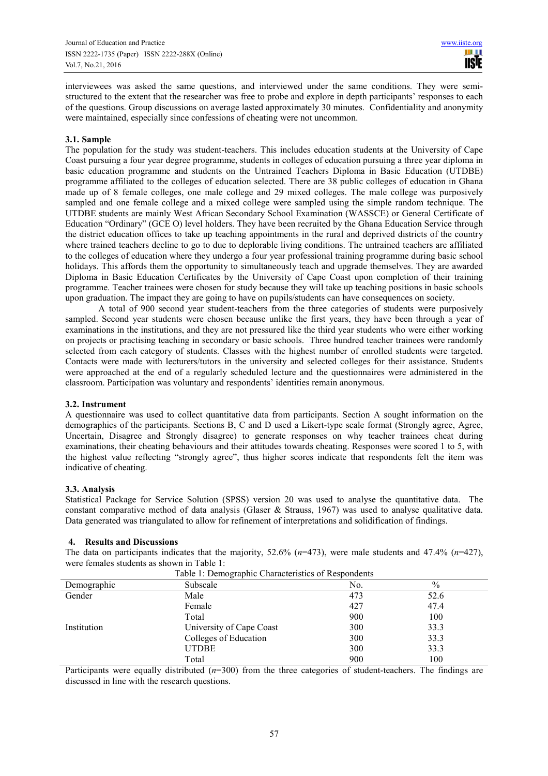interviewees was asked the same questions, and interviewed under the same conditions. They were semistructured to the extent that the researcher was free to probe and explore in depth participants' responses to each of the questions. Group discussions on average lasted approximately 30 minutes. Confidentiality and anonymity were maintained, especially since confessions of cheating were not uncommon.

## **3.1. Sample**

The population for the study was student-teachers. This includes education students at the University of Cape Coast pursuing a four year degree programme, students in colleges of education pursuing a three year diploma in basic education programme and students on the Untrained Teachers Diploma in Basic Education (UTDBE) programme affiliated to the colleges of education selected. There are 38 public colleges of education in Ghana made up of 8 female colleges, one male college and 29 mixed colleges. The male college was purposively sampled and one female college and a mixed college were sampled using the simple random technique. The UTDBE students are mainly West African Secondary School Examination (WASSCE) or General Certificate of Education "Ordinary" (GCE O) level holders. They have been recruited by the Ghana Education Service through the district education offices to take up teaching appointments in the rural and deprived districts of the country where trained teachers decline to go to due to deplorable living conditions. The untrained teachers are affiliated to the colleges of education where they undergo a four year professional training programme during basic school holidays. This affords them the opportunity to simultaneously teach and upgrade themselves. They are awarded Diploma in Basic Education Certificates by the University of Cape Coast upon completion of their training programme. Teacher trainees were chosen for study because they will take up teaching positions in basic schools upon graduation. The impact they are going to have on pupils/students can have consequences on society.

A total of 900 second year student-teachers from the three categories of students were purposively sampled. Second year students were chosen because unlike the first years, they have been through a year of examinations in the institutions, and they are not pressured like the third year students who were either working on projects or practising teaching in secondary or basic schools. Three hundred teacher trainees were randomly selected from each category of students. Classes with the highest number of enrolled students were targeted. Contacts were made with lecturers/tutors in the university and selected colleges for their assistance. Students were approached at the end of a regularly scheduled lecture and the questionnaires were administered in the classroom. Participation was voluntary and respondents' identities remain anonymous.

## **3.2. Instrument**

A questionnaire was used to collect quantitative data from participants. Section A sought information on the demographics of the participants. Sections B, C and D used a Likert-type scale format (Strongly agree, Agree, Uncertain, Disagree and Strongly disagree) to generate responses on why teacher trainees cheat during examinations, their cheating behaviours and their attitudes towards cheating. Responses were scored 1 to 5, with the highest value reflecting "strongly agree", thus higher scores indicate that respondents felt the item was indicative of cheating.

#### **3.3. Analysis**

Statistical Package for Service Solution (SPSS) version 20 was used to analyse the quantitative data. The constant comparative method of data analysis (Glaser & Strauss, 1967) was used to analyse qualitative data. Data generated was triangulated to allow for refinement of interpretations and solidification of findings.

## **4. Results and Discussions**

The data on participants indicates that the majority, 52.6% (*n*=473), were male students and 47.4% (*n*=427), were females students as shown in Table 1: Table 1: Demographic Characteristics of Respondents

|             | Table 1. Demographic Characteristics of Respondents |     |               |
|-------------|-----------------------------------------------------|-----|---------------|
| Demographic | Subscale                                            | No. | $\frac{0}{0}$ |
| Gender      | Male                                                | 473 | 52.6          |
|             | Female                                              | 427 | 47.4          |
|             | Total                                               | 900 | 100           |
| Institution | University of Cape Coast                            | 300 | 33.3          |
|             | Colleges of Education                               | 300 | 33.3          |
|             | <b>UTDBE</b>                                        | 300 | 33.3          |
|             | Total                                               | 900 | 100           |

Participants were equally distributed ( $n=300$ ) from the three categories of student-teachers. The findings are discussed in line with the research questions.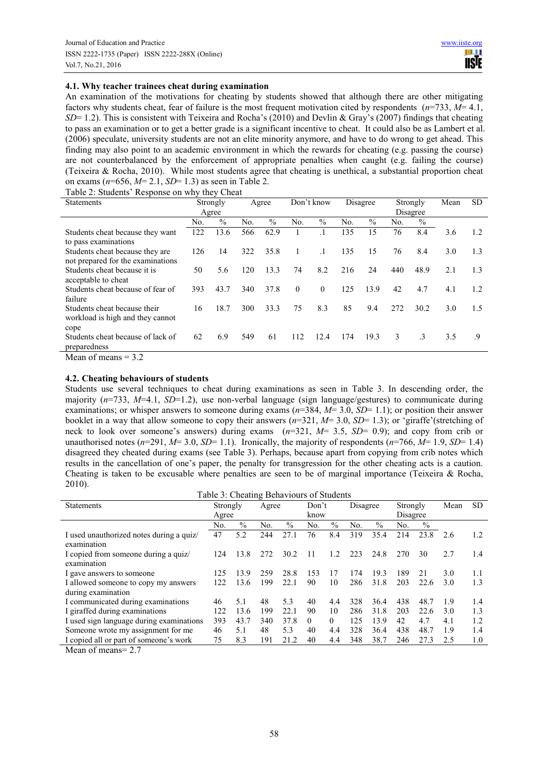## **4.1. Why teacher trainees cheat during examination**

An examination of the motivations for cheating by students showed that although there are other mitigating factors why students cheat, fear of failure is the most frequent motivation cited by respondents (*n*=733, *M*= 4.1, *SD*= 1.2). This is consistent with Teixeira and Rocha's (2010) and Devlin & Gray's (2007) findings that cheating to pass an examination or to get a better grade is a significant incentive to cheat. It could also be as Lambert et al. (2006) speculate, university students are not an elite minority anymore, and have to do wrong to get ahead. This finding may also point to an academic environment in which the rewards for cheating (e.g. passing the course) are not counterbalanced by the enforcement of appropriate penalties when caught (e.g. failing the course) (Teixeira & Rocha, 2010). While most students agree that cheating is unethical, a substantial proportion cheat on exams (*n*=656, *M*= 2.1, *SD*= 1.3) as seen in Table 2.

|  | Table 2: Students' Response on why they Cheat |  |  |  |
|--|-----------------------------------------------|--|--|--|
|--|-----------------------------------------------|--|--|--|

| <b>Statements</b>                                                        |     | Strongly |     | Agree         |          | Don't know |     | Disagree      |     | Strongly  | Mean | <b>SD</b>      |
|--------------------------------------------------------------------------|-----|----------|-----|---------------|----------|------------|-----|---------------|-----|-----------|------|----------------|
|                                                                          |     | Agree    |     |               |          |            |     |               |     | Disagree  |      |                |
|                                                                          | No. | $\%$     | No. | $\frac{0}{0}$ | No.      | $\%$       | No. | $\frac{0}{0}$ | No. | $\%$      |      |                |
| Students cheat because they want<br>to pass examinations                 | 122 | 13.6     | 566 | 62.9          |          |            | 135 | 15            | 76  | 8.4       | 3.6  | 1.2            |
| Students cheat because they are<br>not prepared for the examinations     | 126 | 14       | 322 | 35.8          | 1        |            | 135 | 15            | 76  | 8.4       | 3.0  | 1.3            |
| Students cheat because it is<br>acceptable to cheat                      | 50  | 5.6      | 120 | 13.3          | 74       | 8.2        | 216 | 24            | 440 | 48.9      | 2.1  | 1.3            |
| Students cheat because of fear of<br>failure                             | 393 | 43.7     | 340 | 37.8          | $\theta$ | $\theta$   | 125 | 13.9          | 42  | 4.7       | 4.1  | 1.2            |
| Students cheat because their<br>workload is high and they cannot<br>cope | 16  | 18.7     | 300 | 33.3          | 75       | 8.3        | 85  | 9.4           | 272 | 30.2      | 3.0  | 1.5            |
| Students cheat because of lack of<br>preparedness                        | 62  | 6.9      | 549 | 61            | 112      | 12.4       | 174 | 19.3          | 3   | $\cdot$ 3 | 3.5  | $\overline{9}$ |

Mean of means  $= 3.2$ 

## **4.2. Cheating behaviours of students**

Students use several techniques to cheat during examinations as seen in Table 3. In descending order, the majority  $(n=733, M=4.1, SD=1.2)$ , use non-verbal language (sign language/gestures) to communicate during examinations; or whisper answers to someone during exams (*n*=384, *M*= 3.0, *SD*= 1.1); or position their answer booklet in a way that allow someone to copy their answers (*n*=321, *M*= 3.0, *SD*= 1.3); or 'giraffe'(stretching of neck to look over someone's answers) during exams (*n*=321, *M*= 3.5, *SD*= 0.9); and copy from crib or unauthorised notes  $(n=291, M=3.0, SD=1.1)$ . Ironically, the majority of respondents  $(n=766, M=1.9, SD=1.4)$ disagreed they cheated during exams (see Table 3). Perhaps, because apart from copying from crib notes which results in the cancellation of one's paper, the penalty for transgression for the other cheating acts is a caution. Cheating is taken to be excusable where penalties are seen to be of marginal importance (Teixeira & Rocha, 2010).

| Table 3: Cheating Behaviours of Students |          |               |       |      |          |          |          |               |          |               |      |     |
|------------------------------------------|----------|---------------|-------|------|----------|----------|----------|---------------|----------|---------------|------|-----|
| <b>Statements</b>                        | Strongly |               | Agree |      | Don't    |          | Disagree |               | Strongly |               | Mean | SD. |
|                                          | Agree    |               |       |      | know     |          |          |               | Disagree |               |      |     |
|                                          | No.      | $\frac{0}{0}$ | No.   | $\%$ | No.      | $\%$     | No.      | $\frac{0}{0}$ | No.      | $\frac{0}{0}$ |      |     |
| I used unauthorized notes during a quiz/ | 47       | 5.2           | 244   | 27.1 | 76       | 8.4      | 319      | 35.4          | 214      | 23.8          | 2.6  | 1.2 |
| examination                              |          |               |       |      |          |          |          |               |          |               |      |     |
| I copied from someone during a quiz      | 124      | 13.8          | 272   | 30.2 | 11       | 12       | 223      | 24.8          | 270      | 30            | 2.7  | 1.4 |
| examination                              |          |               |       |      |          |          |          |               |          |               |      |     |
| I gave answers to someone                | 125      | 13.9          | 259   | 28.8 | 153      | 17       | 174      | 19.3          | 189      | 21            | 3.0  | 1.1 |
| I allowed someone to copy my answers     | 122      | 13.6          | 199   | 22.1 | 90       | 10       | 286      | 31.8          | 203      | 22.6          | 3.0  | 1.3 |
| during examination                       |          |               |       |      |          |          |          |               |          |               |      |     |
| I communicated during examinations       | 46       | 5.1           | 48    | 5.3  | 40       | 4.4      | 328      | 36.4          | 438      | 48.7          | 1.9  | 1.4 |
| I giraffed during examinations           | 122      | 13.6          | 199   | 22.1 | 90       | 10       | 286      | 31.8          | 203      | 22.6          | 3.0  | 1.3 |
| I used sign language during examinations | 393      | 43.7          | 340   | 37.8 | $\Omega$ | $\Omega$ | 125      | 13.9          | 42       | 4.7           | 4.1  | 1.2 |
| Someone wrote my assignment for me       | 46       | 5.1           | 48    | 5.3  | 40       | 4.4      | 328      | 36.4          | 438      | 48.7          | 1.9  | 1.4 |
| I copied all or part of someone's work   | 75       | 8.3           | 191   | 21.2 | 40       | 4.4      | 348      | 38.7          | 246      | 27.3          | 2.5  | 1.0 |
|                                          |          |               |       |      |          |          |          |               |          |               |      |     |

Mean of means= 2.7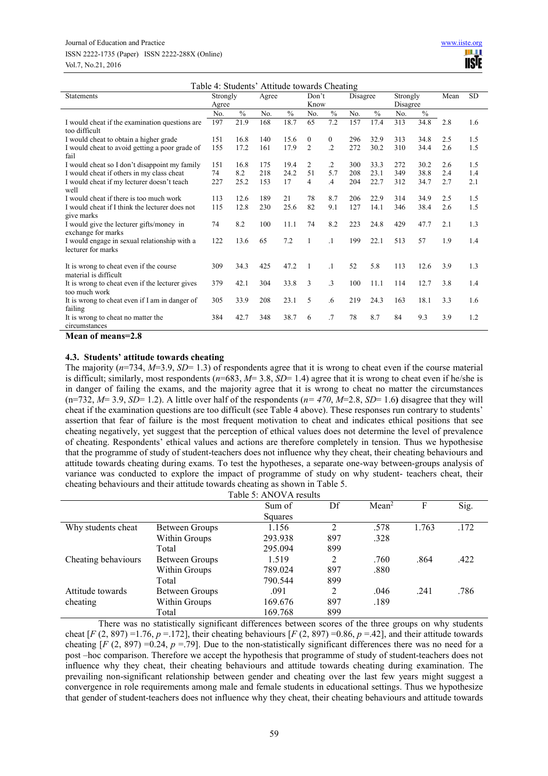| Table 4: Students' Attitude towards Cheating           |          |               |       |               |                |                |                |               |          |               |      |           |
|--------------------------------------------------------|----------|---------------|-------|---------------|----------------|----------------|----------------|---------------|----------|---------------|------|-----------|
| Statements                                             | Strongly |               | Agree |               | Don't          |                | Disagree       |               | Strongly |               | Mean | <b>SD</b> |
|                                                        | Agree    |               |       |               | Know           |                |                |               | Disagree |               |      |           |
|                                                        | No.      | $\frac{0}{0}$ | No.   | $\frac{0}{0}$ | No.            | $\frac{0}{0}$  | N <sub>0</sub> | $\frac{0}{0}$ | No.      | $\frac{0}{0}$ |      |           |
| I would cheat if the examination questions are         | 197      | 21.9          | 168   | 18.7          | 65             | 7.2            | 157            | 17.4          | 313      | 34.8          | 2.8  | 1.6       |
| too difficult                                          |          |               |       |               |                |                |                |               |          |               |      |           |
| I would cheat to obtain a higher grade                 | 151      | 16.8          | 140   | 15.6          | $\mathbf{0}$   | $\overline{0}$ | 296            | 32.9          | 313      | 34.8          | 2.5  | 1.5       |
| I would cheat to avoid getting a poor grade of<br>fail | 155      | 17.2          | 161   | 17.9          | $\overline{2}$ | $\cdot$        | 272            | 30.2          | 310      | 34.4          | 2.6  | 1.5       |
| I would cheat so I don't disappoint my family          | 151      | 16.8          | 175   | 19.4          | $\overline{c}$ | $\cdot$        | 300            | 33.3          | 272      | 30.2          | 2.6  | 1.5       |
| I would cheat if others in my class cheat              | 74       | 8.2           | 218   | 24.2          | 51             | 5.7            | 208            | 23.1          | 349      | 38.8          | 2.4  | 1.4       |
| I would cheat if my lecturer doesn't teach             | 227      | 25.2          | 153   | 17            | $\overline{4}$ | $\mathcal{A}$  | 204            | 22.7          | 312      | 34.7          | 2.7  | 2.1       |
| well                                                   |          |               |       |               |                |                |                |               |          |               |      |           |
| I would cheat if there is too much work                | 113      | 12.6          | 189   | 21            | 78             | 8.7            | 206            | 22.9          | 314      | 34.9          | 2.5  | 1.5       |
| I would cheat if I think the lecturer does not         | 115      | 12.8          | 230   | 25.6          | 82             | 9.1            | 127            | 14.1          | 346      | 38.4          | 2.6  | 1.5       |
| give marks                                             |          |               |       |               |                |                |                |               |          |               |      |           |
| I would give the lecturer gifts/money in               | 74       | 8.2           | 100   | 11.1          | 74             | 8.2            | 223            | 24.8          | 429      | 47.7          | 2.1  | 1.3       |
| exchange for marks                                     |          |               |       |               |                |                |                |               |          |               |      |           |
| I would engage in sexual relationship with a           | 122      | 13.6          | 65    | 7.2           | 1              | $\cdot$ 1      | 199            | 22.1          | 513      | 57            | 1.9  | 1.4       |
| lecturer for marks                                     |          |               |       |               |                |                |                |               |          |               |      |           |
| It is wrong to cheat even if the course                | 309      | 34.3          | 425   | 47.2          | 1              | $\cdot$ 1      | 52             | 5.8           | 113      | 12.6          | 3.9  | 1.3       |
| material is difficult                                  |          |               |       |               |                |                |                |               |          |               |      |           |
| It is wrong to cheat even if the lecturer gives        | 379      | 42.1          | 304   | 33.8          | 3              | $\mathbf{3}$   | 100            | 11.1          | 114      | 12.7          | 3.8  | 1.4       |
| too much work                                          |          |               |       |               |                |                |                |               |          |               |      |           |
| It is wrong to cheat even if I am in danger of         | 305      | 33.9          | 208   | 23.1          | 5              | .6             | 219            | 24.3          | 163      | 18.1          | 3.3  | 1.6       |
| failing                                                |          |               |       |               |                |                |                |               |          |               |      |           |
| It is wrong to cheat no matter the                     | 384      | 42.7          | 348   | 38.7          | 6              | .7             | 78             | 8.7           | 84       | 9.3           | 3.9  | 1.2       |
| circumstances                                          |          |               |       |               |                |                |                |               |          |               |      |           |

**Mean of means=2.8** 

## **4.3. Students' attitude towards cheating**

The majority  $(n=734, M=3.9, SD=1.3)$  of respondents agree that it is wrong to cheat even if the course material is difficult; similarly, most respondents (*n*=683, *M*= 3.8, *SD*= 1.4) agree that it is wrong to cheat even if he/she is in danger of failing the exams, and the majority agree that it is wrong to cheat no matter the circumstances  $(n=732, M=3.9, SD=1.2)$ . A little over half of the respondents  $(n=470, M=2.8, SD=1.6)$  disagree that they will cheat if the examination questions are too difficult (see Table 4 above). These responses run contrary to students' assertion that fear of failure is the most frequent motivation to cheat and indicates ethical positions that see cheating negatively, yet suggest that the perception of ethical values does not determine the level of prevalence of cheating. Respondents' ethical values and actions are therefore completely in tension. Thus we hypothesise that the programme of study of student-teachers does not influence why they cheat, their cheating behaviours and attitude towards cheating during exams. To test the hypotheses, a separate one-way between-groups analysis of variance was conducted to explore the impact of programme of study on why student- teachers cheat, their cheating behaviours and their attitude towards cheating as shown in Table 5.  $Table 5: ANONA result$ 

|                     |                | Fadie 5. Ainu va Tesuits |     |                   |       |      |
|---------------------|----------------|--------------------------|-----|-------------------|-------|------|
|                     |                | Sum of                   | Df  | Mean <sup>2</sup> | F     | Sig. |
|                     |                | Squares                  |     |                   |       |      |
| Why students cheat  | Between Groups | 1.156                    | 2   | .578              | 1.763 | .172 |
|                     | Within Groups  | 293.938                  | 897 | .328              |       |      |
|                     | Total          | 295.094                  | 899 |                   |       |      |
| Cheating behaviours | Between Groups | 1.519                    | 2   | .760              | .864  | .422 |
|                     | Within Groups  | 789.024                  | 897 | .880              |       |      |
|                     | Total          | 790.544                  | 899 |                   |       |      |
| Attitude towards    | Between Groups | .091                     | 2   | .046              | .241  | .786 |
| cheating            | Within Groups  | 169.676                  | 897 | .189              |       |      |
|                     | Total          | 169.768                  | 899 |                   |       |      |

There was no statistically significant differences between scores of the three groups on why students cheat  $[F (2, 897) = 1.76, p = 1.72]$ , their cheating behaviours  $[F (2, 897) = 0.86, p = .42]$ , and their attitude towards cheating  $[F (2, 897) = 0.24, p = .79]$ . Due to the non-statistically significant differences there was no need for a post –hoc comparison. Therefore we accept the hypothesis that programme of study of student-teachers does not influence why they cheat, their cheating behaviours and attitude towards cheating during examination. The prevailing non-significant relationship between gender and cheating over the last few years might suggest a convergence in role requirements among male and female students in educational settings. Thus we hypothesize that gender of student-teachers does not influence why they cheat, their cheating behaviours and attitude towards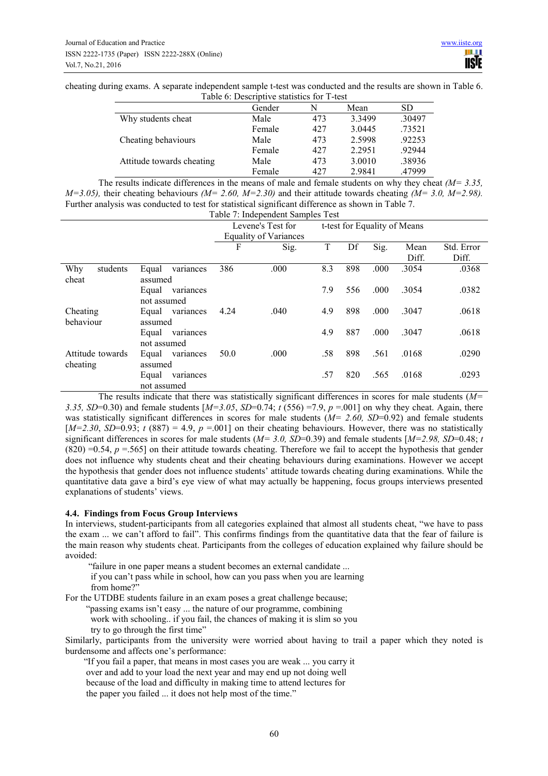cheating during exams. A separate independent sample t-test was conducted and the results are shown in Table 6. Table 6: Descriptive statistics for T-test

|                           | Gender | N   | Mean      | <b>SD</b> |
|---------------------------|--------|-----|-----------|-----------|
| Why students cheat        | Male   | 473 | 3 3 4 9 9 | .30497    |
|                           | Female | 427 | 3.0445    | .73521    |
| Cheating behaviours       | Male   | 473 | 2.5998    | .92253    |
|                           | Female | 427 | 2.2951    | .92944    |
| Attitude towards cheating | Male   | 473 | 3.0010    | .38936    |
|                           | Female | 427 | 2.9841    | .47999    |
|                           |        |     |           |           |

| The results indicate differences in the means of male and female students on why they cheat $(M=3.35,$                    |
|---------------------------------------------------------------------------------------------------------------------------|
| $M=3.05$ ), their cheating behaviours ( $M=2.60$ , $M=2.30$ ) and their attitude towards cheating ( $M=3.0$ , $M=2.98$ ). |
| Further analysis was conducted to test for statistical significant difference as shown in Table 7.                        |

| Table 7: Independent Samples Test |                                   |      |                              |     |     |                              |       |            |
|-----------------------------------|-----------------------------------|------|------------------------------|-----|-----|------------------------------|-------|------------|
|                                   |                                   |      | Levene's Test for            |     |     | t-test for Equality of Means |       |            |
|                                   |                                   |      | <b>Equality of Variances</b> |     |     |                              |       |            |
|                                   |                                   | F    | Sig.                         | T   | Df  | Sig.                         | Mean  | Std. Error |
|                                   |                                   |      |                              |     |     |                              | Diff. | Diff.      |
| students<br>Why<br>cheat          | Equal<br>variances<br>assumed     | 386  | .000                         | 8.3 | 898 | .000                         | .3054 | .0368      |
|                                   | variances<br>Equal<br>not assumed |      |                              | 7.9 | 556 | .000                         | .3054 | .0382      |
| Cheating<br>behaviour             | variances<br>Equal<br>assumed     | 4.24 | .040                         | 4.9 | 898 | .000                         | .3047 | .0618      |
|                                   | Equal<br>variances<br>not assumed |      |                              | 4.9 | 887 | .000                         | .3047 | .0618      |
| Attitude towards<br>cheating      | Equal variances<br>assumed        | 50.0 | .000                         | .58 | 898 | .561                         | .0168 | .0290      |
|                                   | Equal<br>variances<br>not assumed |      |                              | .57 | 820 | .565                         | .0168 | .0293      |

The results indicate that there was statistically significant differences in scores for male students (*M= 3.35, SD*=0.30) and female students  $[M=3.05, SD=0.74; t(556) = 7.9, p = .001]$  on why they cheat. Again, there was statistically significant differences in scores for male students ( $M=$  2.60, SD=0.92) and female students  $[M=2.30, SD=0.93; t (887) = 4.9, p = .001]$  on their cheating behaviours. However, there was no statistically significant differences in scores for male students ( $M=3.0$ ,  $\overline{SD}=0.39$ ) and female students [ $M=2.98$ ,  $\overline{SD}=0.48$ ; *t*  $(820) = 0.54$ ,  $p = 565$ ] on their attitude towards cheating. Therefore we fail to accept the hypothesis that gender does not influence why students cheat and their cheating behaviours during examinations. However we accept the hypothesis that gender does not influence students' attitude towards cheating during examinations. While the quantitative data gave a bird's eye view of what may actually be happening, focus groups interviews presented explanations of students' views.

## **4.4. Findings from Focus Group Interviews**

In interviews, student-participants from all categories explained that almost all students cheat, "we have to pass the exam ... we can't afford to fail". This confirms findings from the quantitative data that the fear of failure is the main reason why students cheat. Participants from the colleges of education explained why failure should be avoided:

 "failure in one paper means a student becomes an external candidate ... if you can't pass while in school, how can you pass when you are learning from home?"

For the UTDBE students failure in an exam poses a great challenge because;

"passing exams isn't easy ... the nature of our programme, combining

 work with schooling.. if you fail, the chances of making it is slim so you try to go through the first time"

Similarly, participants from the university were worried about having to trail a paper which they noted is burdensome and affects one's performance:

 "If you fail a paper, that means in most cases you are weak ... you carry it over and add to your load the next year and may end up not doing well because of the load and difficulty in making time to attend lectures for the paper you failed ... it does not help most of the time."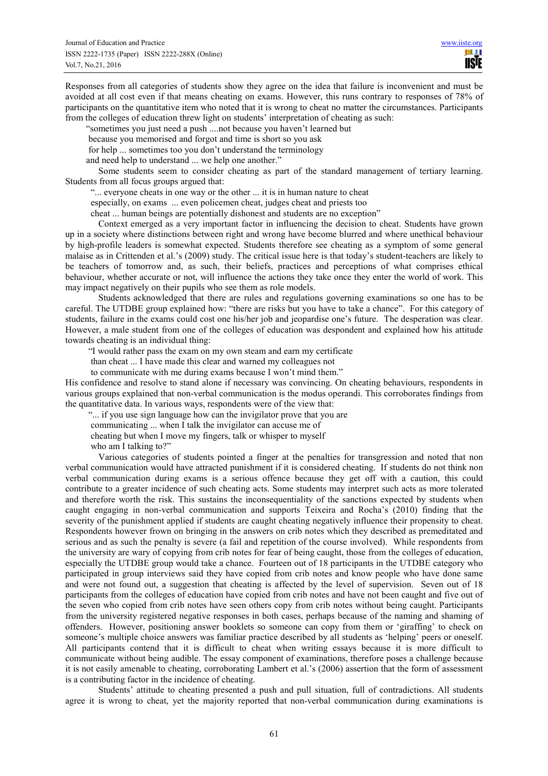Responses from all categories of students show they agree on the idea that failure is inconvenient and must be avoided at all cost even if that means cheating on exams. However, this runs contrary to responses of 78% of participants on the quantitative item who noted that it is wrong to cheat no matter the circumstances. Participants from the colleges of education threw light on students' interpretation of cheating as such:

"sometimes you just need a push ....not because you haven't learned but

because you memorised and forgot and time is short so you ask

for help ... sometimes too you don't understand the terminology

and need help to understand ... we help one another."

Some students seem to consider cheating as part of the standard management of tertiary learning. Students from all focus groups argued that:

"... everyone cheats in one way or the other ... it is in human nature to cheat

especially, on exams ... even policemen cheat, judges cheat and priests too

cheat ... human beings are potentially dishonest and students are no exception"

Context emerged as a very important factor in influencing the decision to cheat. Students have grown up in a society where distinctions between right and wrong have become blurred and where unethical behaviour by high-profile leaders is somewhat expected. Students therefore see cheating as a symptom of some general malaise as in Crittenden et al.'s (2009) study. The critical issue here is that today's student-teachers are likely to be teachers of tomorrow and, as such, their beliefs, practices and perceptions of what comprises ethical behaviour, whether accurate or not, will influence the actions they take once they enter the world of work. This may impact negatively on their pupils who see them as role models.

Students acknowledged that there are rules and regulations governing examinations so one has to be careful. The UTDBE group explained how: "there are risks but you have to take a chance". For this category of students, failure in the exams could cost one his/her job and jeopardise one's future. The desperation was clear. However, a male student from one of the colleges of education was despondent and explained how his attitude towards cheating is an individual thing:

"I would rather pass the exam on my own steam and earn my certificate

than cheat ... I have made this clear and warned my colleagues not

to communicate with me during exams because I won't mind them."

His confidence and resolve to stand alone if necessary was convincing. On cheating behaviours, respondents in various groups explained that non-verbal communication is the modus operandi. This corroborates findings from the quantitative data. In various ways, respondents were of the view that:

"... if you use sign language how can the invigilator prove that you are

communicating ... when I talk the invigilator can accuse me of

cheating but when I move my fingers, talk or whisper to myself

who am I talking to?"

Various categories of students pointed a finger at the penalties for transgression and noted that non verbal communication would have attracted punishment if it is considered cheating. If students do not think non verbal communication during exams is a serious offence because they get off with a caution, this could contribute to a greater incidence of such cheating acts. Some students may interpret such acts as more tolerated and therefore worth the risk. This sustains the inconsequentiality of the sanctions expected by students when caught engaging in non-verbal communication and supports Teixeira and Rocha's (2010) finding that the severity of the punishment applied if students are caught cheating negatively influence their propensity to cheat. Respondents however frown on bringing in the answers on crib notes which they described as premeditated and serious and as such the penalty is severe (a fail and repetition of the course involved). While respondents from the university are wary of copying from crib notes for fear of being caught, those from the colleges of education, especially the UTDBE group would take a chance. Fourteen out of 18 participants in the UTDBE category who participated in group interviews said they have copied from crib notes and know people who have done same and were not found out, a suggestion that cheating is affected by the level of supervision. Seven out of 18 participants from the colleges of education have copied from crib notes and have not been caught and five out of the seven who copied from crib notes have seen others copy from crib notes without being caught. Participants from the university registered negative responses in both cases, perhaps because of the naming and shaming of offenders. However, positioning answer booklets so someone can copy from them or 'giraffing' to check on someone's multiple choice answers was familiar practice described by all students as 'helping' peers or oneself. All participants contend that it is difficult to cheat when writing essays because it is more difficult to communicate without being audible. The essay component of examinations, therefore poses a challenge because it is not easily amenable to cheating, corroborating Lambert et al.'s (2006) assertion that the form of assessment is a contributing factor in the incidence of cheating.

Students' attitude to cheating presented a push and pull situation, full of contradictions. All students agree it is wrong to cheat, yet the majority reported that non-verbal communication during examinations is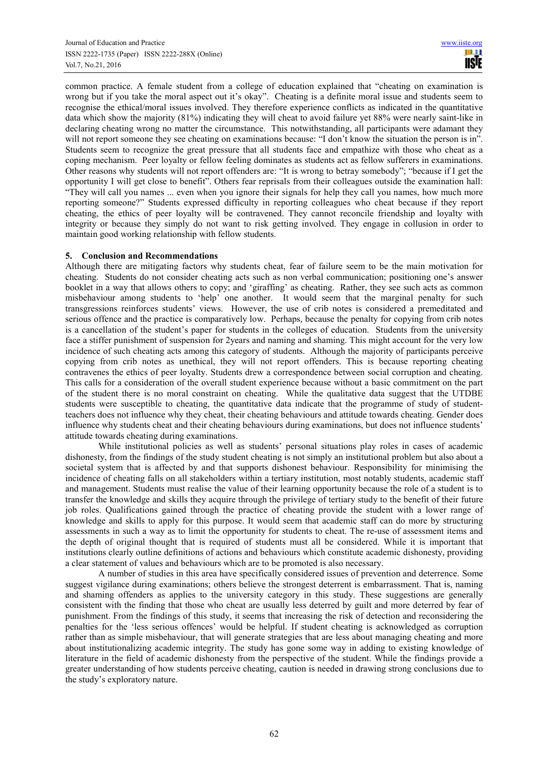common practice. A female student from a college of education explained that "cheating on examination is wrong but if you take the moral aspect out it's okay". Cheating is a definite moral issue and students seem to recognise the ethical/moral issues involved. They therefore experience conflicts as indicated in the quantitative data which show the majority (81%) indicating they will cheat to avoid failure yet 88% were nearly saint-like in declaring cheating wrong no matter the circumstance. This notwithstanding, all participants were adamant they will not report someone they see cheating on examinations because: "I don't know the situation the person is in". Students seem to recognize the great pressure that all students face and empathize with those who cheat as a coping mechanism. Peer loyalty or fellow feeling dominates as students act as fellow sufferers in examinations. Other reasons why students will not report offenders are: "It is wrong to betray somebody"; "because if I get the opportunity I will get close to benefit". Others fear reprisals from their colleagues outside the examination hall: "They will call you names ... even when you ignore their signals for help they call you names, how much more reporting someone?" Students expressed difficulty in reporting colleagues who cheat because if they report cheating, the ethics of peer loyalty will be contravened. They cannot reconcile friendship and loyalty with integrity or because they simply do not want to risk getting involved. They engage in collusion in order to maintain good working relationship with fellow students.

## **5. Conclusion and Recommendations**

Although there are mitigating factors why students cheat, fear of failure seem to be the main motivation for cheating. Students do not consider cheating acts such as non verbal communication; positioning one's answer booklet in a way that allows others to copy; and 'giraffing' as cheating. Rather, they see such acts as common misbehaviour among students to 'help' one another. It would seem that the marginal penalty for such transgressions reinforces students' views. However, the use of crib notes is considered a premeditated and serious offence and the practice is comparatively low. Perhaps, because the penalty for copying from crib notes is a cancellation of the student's paper for students in the colleges of education. Students from the university face a stiffer punishment of suspension for 2years and naming and shaming. This might account for the very low incidence of such cheating acts among this category of students. Although the majority of participants perceive copying from crib notes as unethical, they will not report offenders. This is because reporting cheating contravenes the ethics of peer loyalty. Students drew a correspondence between social corruption and cheating. This calls for a consideration of the overall student experience because without a basic commitment on the part of the student there is no moral constraint on cheating. While the qualitative data suggest that the UTDBE students were susceptible to cheating, the quantitative data indicate that the programme of study of studentteachers does not influence why they cheat, their cheating behaviours and attitude towards cheating. Gender does influence why students cheat and their cheating behaviours during examinations, but does not influence students' attitude towards cheating during examinations.

While institutional policies as well as students' personal situations play roles in cases of academic dishonesty, from the findings of the study student cheating is not simply an institutional problem but also about a societal system that is affected by and that supports dishonest behaviour. Responsibility for minimising the incidence of cheating falls on all stakeholders within a tertiary institution, most notably students, academic staff and management. Students must realise the value of their learning opportunity because the role of a student is to transfer the knowledge and skills they acquire through the privilege of tertiary study to the benefit of their future job roles. Qualifications gained through the practice of cheating provide the student with a lower range of knowledge and skills to apply for this purpose. It would seem that academic staff can do more by structuring assessments in such a way as to limit the opportunity for students to cheat. The re-use of assessment items and the depth of original thought that is required of students must all be considered. While it is important that institutions clearly outline definitions of actions and behaviours which constitute academic dishonesty, providing a clear statement of values and behaviours which are to be promoted is also necessary.

A number of studies in this area have specifically considered issues of prevention and deterrence. Some suggest vigilance during examinations; others believe the strongest deterrent is embarrassment. That is, naming and shaming offenders as applies to the university category in this study. These suggestions are generally consistent with the finding that those who cheat are usually less deterred by guilt and more deterred by fear of punishment. From the findings of this study, it seems that increasing the risk of detection and reconsidering the penalties for the 'less serious offences' would be helpful. If student cheating is acknowledged as corruption rather than as simple misbehaviour, that will generate strategies that are less about managing cheating and more about institutionalizing academic integrity. The study has gone some way in adding to existing knowledge of literature in the field of academic dishonesty from the perspective of the student. While the findings provide a greater understanding of how students perceive cheating, caution is needed in drawing strong conclusions due to the study's exploratory nature.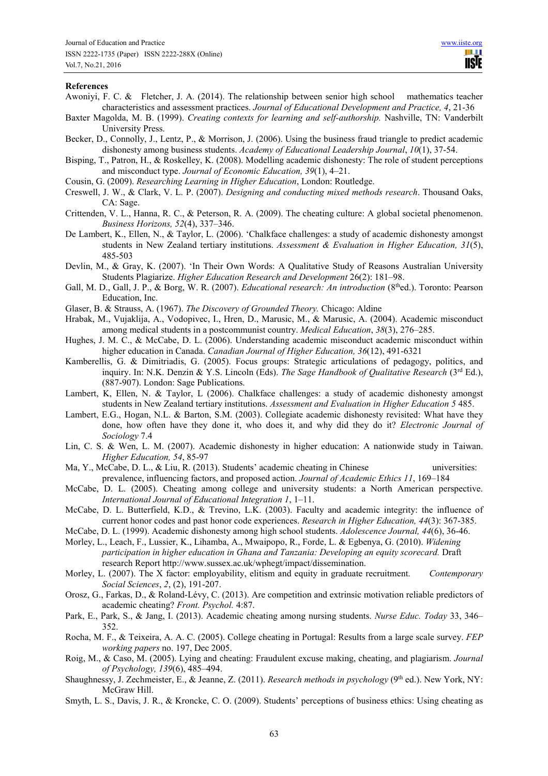#### **References**

- Awoniyi, F. C. & Fletcher, J. A. (2014). The relationship between senior high school mathematics teacher characteristics and assessment practices. *Journal of Educational Development and Practice, 4*, 21-36
- Baxter Magolda, M. B. (1999). *Creating contexts for learning and self-authorship.* Nashville, TN: Vanderbilt University Press.
- Becker, D., Connolly, J., Lentz, P., & Morrison, J. (2006). Using the business fraud triangle to predict academic dishonesty among business students. *Academy of Educational Leadership Journal*, *10*(1), 37-54.
- Bisping, T., Patron, H., & Roskelley, K. (2008). Modelling academic dishonesty: The role of student perceptions and misconduct type. *Journal of Economic Education, 39*(1), 4–21.
- Cousin, G. (2009). *Researching Learning in Higher Education*, London: Routledge.
- Creswell, J. W., & Clark, V. L. P. (2007). *Designing and conducting mixed methods research*. Thousand Oaks, CA: Sage.
- Crittenden, V. L., Hanna, R. C., & Peterson, R. A. (2009). The cheating culture: A global societal phenomenon. *Business Horizons, 52*(4), 337–346.
- De Lambert, K., Ellen, N., & Taylor, L. (2006). 'Chalkface challenges: a study of academic dishonesty amongst students in New Zealand tertiary institutions. *Assessment & Evaluation in Higher Education, 31*(5), 485-503
- Devlin, M., & Gray, K. (2007). 'In Their Own Words: A Qualitative Study of Reasons Australian University Students Plagiarize. *Higher Education Research and Development* 26(2): 181–98.
- Gall, M. D., Gall, J. P., & Borg, W. R. (2007). *Educational research: An introduction* (8<sup>th</sup>ed.). Toronto: Pearson Education, Inc.
- Glaser, B. & Strauss, A. (1967). *The Discovery of Grounded Theory.* Chicago: Aldine
- Hrabak, M., Vujaklija, A., Vodopivec, I., Hren, D., Marusic, M., & Marusic, A. (2004). Academic misconduct among medical students in a postcommunist country. *Medical Education*, *38*(3), 276–285.
- Hughes, J. M. C., & McCabe, D. L. (2006). Understanding academic misconduct academic misconduct within higher education in Canada. *Canadian Journal of Higher Education, 36*(12), 491-6321
- Kamberellis, G. & Dimitriadis, G. (2005). Focus groups: Strategic articulations of pedagogy, politics, and inquiry. In: N.K. Denzin & Y.S. Lincoln (Eds). *The Sage Handbook of Qualitative Research* (3rd Ed.), (887-907). London: Sage Publications.
- Lambert, K, Ellen, N. & Taylor, L (2006). Chalkface challenges: a study of academic dishonesty amongst students in New Zealand tertiary institutions. *Assessment and Evaluation in Higher Education 5* 485.
- Lambert, E.G., Hogan, N.L. & Barton, S.M. (2003). Collegiate academic dishonesty revisited: What have they done, how often have they done it, who does it, and why did they do it? *Electronic Journal of Sociology* 7.4
- Lin, C. S. & Wen, L. M. (2007). Academic dishonesty in higher education: A nationwide study in Taiwan. *Higher Education, 54*, 85-97
- Ma, Y., McCabe, D. L., & Liu, R. (2013). Students' academic cheating in Chinese universities: prevalence, influencing factors, and proposed action. *Journal of Academic Ethics 11*, 169–184
- McCabe, D. L. (2005). Cheating among college and university students: a North American perspective. *International Journal of Educational Integration 1*, 1–11.
- McCabe, D. L. Butterfield, K.D., & Trevino, L.K. (2003). Faculty and academic integrity: the influence of current honor codes and past honor code experiences. *Research in Higher Education, 44*(3): 367-385.
- McCabe, D. L. (1999). Academic dishonesty among high school students. *Adolescence Journal, 44*(6), 36-46.
- Morley, L., Leach, F., Lussier, K., Lihamba, A., Mwaipopo, R., Forde, L. & Egbenya, G. (2010). *Widening participation in higher education in Ghana and Tanzania: Developing an equity scorecard.* Draft research Report http://www.sussex.ac.uk/wphegt/impact/dissemination.
- Morley, L. (2007). The X factor: employability, elitism and equity in graduate recruitment. *Contemporary Social Sciences*, *2*, (2), 191-207.
- Orosz, G., Farkas, D., & Roland-Lévy, C. (2013). Are competition and extrinsic motivation reliable predictors of academic cheating? *Front. Psychol.* 4:87.
- Park, E., Park, S., & Jang, I. (2013). Academic cheating among nursing students. *Nurse Educ. Today* 33, 346– 352.
- Rocha, M. F., & Teixeira, A. A. C. (2005). College cheating in Portugal: Results from a large scale survey. *FEP working papers* no. 197, Dec 2005.
- Roig, M., & Caso, M. (2005). Lying and cheating: Fraudulent excuse making, cheating, and plagiarism. *Journal of Psychology, 139*(6), 485–494.
- Shaughnessy, J. Zechmeister, E., & Jeanne, Z. (2011). *Research methods in psychology* (9<sup>th</sup> ed.). New York, NY: McGraw Hill.
- Smyth, L. S., Davis, J. R., & Kroncke, C. O. (2009). Students' perceptions of business ethics: Using cheating as